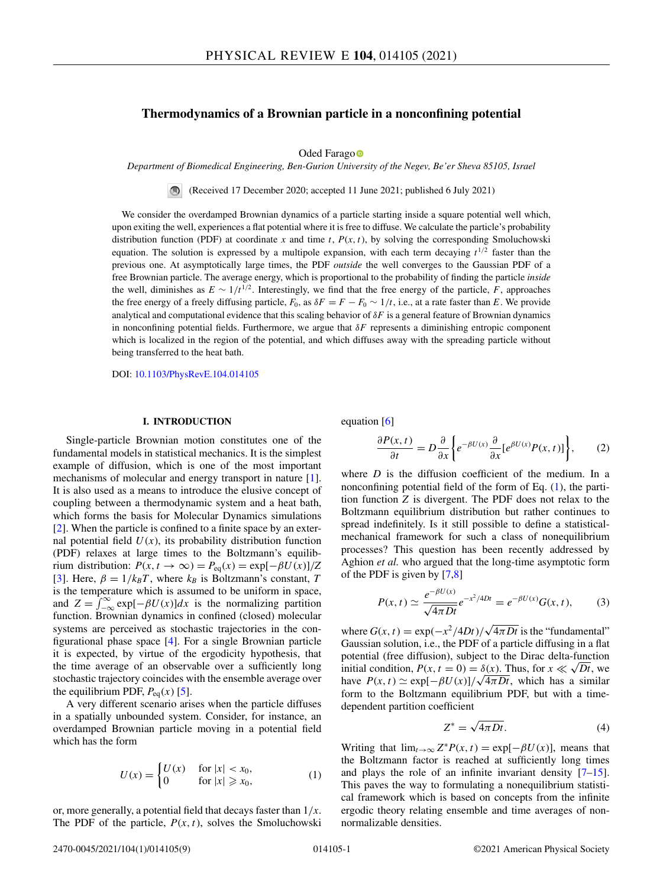# <span id="page-0-0"></span>**Thermodynamics of a Brownian particle in a nonconfining potential**

Oded Farag[o](https://orcid.org/0000-0003-1517-5404)<sup>o</sup>

*Department of Biomedical Engineering, Ben-Gurion University of the Negev, Be'er Sheva 85105, Israel*

(Received 17 December 2020; accepted 11 June 2021; published 6 July 2021)  $\bigcirc$ 

We consider the overdamped Brownian dynamics of a particle starting inside a square potential well which, upon exiting the well, experiences a flat potential where it is free to diffuse. We calculate the particle's probability distribution function (PDF) at coordinate *x* and time *t*,  $P(x, t)$ , by solving the corresponding Smoluchowski equation. The solution is expressed by a multipole expansion, with each term decaying  $t^{1/2}$  faster than the previous one. At asymptotically large times, the PDF *outside* the well converges to the Gaussian PDF of a free Brownian particle. The average energy, which is proportional to the probability of finding the particle *inside* the well, diminishes as  $E \sim 1/t^{1/2}$ . Interestingly, we find that the free energy of the particle, *F*, approaches the free energy of a freely diffusing particle,  $F_0$ , as  $\delta F = F - F_0 \sim 1/t$ , i.e., at a rate faster than *E*. We provide analytical and computational evidence that this scaling behavior of  $\delta F$  is a general feature of Brownian dynamics in nonconfining potential fields. Furthermore, we argue that δ*F* represents a diminishing entropic component which is localized in the region of the potential, and which diffuses away with the spreading particle without being transferred to the heat bath.

DOI: [10.1103/PhysRevE.104.014105](https://doi.org/10.1103/PhysRevE.104.014105)

# **I. INTRODUCTION**

Single-particle Brownian motion constitutes one of the fundamental models in statistical mechanics. It is the simplest example of diffusion, which is one of the most important mechanisms of molecular and energy transport in nature [\[1\]](#page-7-0). It is also used as a means to introduce the elusive concept of coupling between a thermodynamic system and a heat bath, which forms the basis for Molecular Dynamics simulations [\[2\]](#page-7-0). When the particle is confined to a finite space by an external potential field  $U(x)$ , its probability distribution function (PDF) relaxes at large times to the Boltzmann's equilibrium distribution:  $P(x, t \to \infty) = P_{eq}(x) = exp[-\beta U(x)]/Z$ [\[3\]](#page-7-0). Here,  $\beta = 1/k_B T$ , where  $k_B$  is Boltzmann's constant, *T* is the temperature which is assumed to be uniform in space, and  $Z = \int_{-\infty}^{\infty} \exp[-\beta U(x)]dx$  is the normalizing partition function. Brownian dynamics in confined (closed) molecular systems are perceived as stochastic trajectories in the configurational phase space [\[4\]](#page-7-0). For a single Brownian particle it is expected, by virtue of the ergodicity hypothesis, that the time average of an observable over a sufficiently long stochastic trajectory coincides with the ensemble average over the equilibrium PDF,  $P_{eq}(x)$  [\[5\]](#page-7-0).

A very different scenario arises when the particle diffuses in a spatially unbounded system. Consider, for instance, an overdamped Brownian particle moving in a potential field which has the form

$$
U(x) = \begin{cases} U(x) & \text{for } |x| < x_0, \\ 0 & \text{for } |x| \ge x_0, \end{cases} \tag{1}
$$

or, more generally, a potential field that decays faster than 1/*x*. The PDF of the particle,  $P(x, t)$ , solves the Smoluchowski equation [\[6\]](#page-7-0)

$$
\frac{\partial P(x,t)}{\partial t} = D \frac{\partial}{\partial x} \bigg\{ e^{-\beta U(x)} \frac{\partial}{\partial x} [e^{\beta U(x)} P(x,t)] \bigg\},\qquad(2)
$$

where *D* is the diffusion coefficient of the medium. In a nonconfining potential field of the form of Eq. (1), the partition function *Z* is divergent. The PDF does not relax to the Boltzmann equilibrium distribution but rather continues to spread indefinitely. Is it still possible to define a statisticalmechanical framework for such a class of nonequilibrium processes? This question has been recently addressed by Aghion *et al.* who argued that the long-time asymptotic form of the PDF is given by [\[7,8\]](#page-7-0)

$$
P(x,t) \simeq \frac{e^{-\beta U(x)}}{\sqrt{4\pi Dt}} e^{-x^2/4Dt} = e^{-\beta U(x)} G(x,t),
$$
 (3)

where  $G(x, t) = \exp(-x^2/4Dt)/\sqrt{4\pi Dt}$  is the "fundamental" Gaussian solution, i.e., the PDF of a particle diffusing in a flat potential (free diffusion), subject to the Dirac delta-function initial condition,  $P(x, t = 0) = \delta(x)$ . Thus, for  $x \ll \sqrt{Dt}$ , we have  $P(x, t) \simeq \exp[-\beta U(x)]/\sqrt{4\pi Dt}$ , which has a similar form to the Boltzmann equilibrium PDF, but with a timedependent partition coefficient

$$
Z^* = \sqrt{4\pi Dt}.
$$
 (4)

Writing that  $\lim_{t\to\infty} Z^*P(x,t) = \exp[-\beta U(x)]$ , means that the Boltzmann factor is reached at sufficiently long times and plays the role of an infinite invariant density [\[7–15\]](#page-7-0). This paves the way to formulating a nonequilibrium statistical framework which is based on concepts from the infinite ergodic theory relating ensemble and time averages of nonnormalizable densities.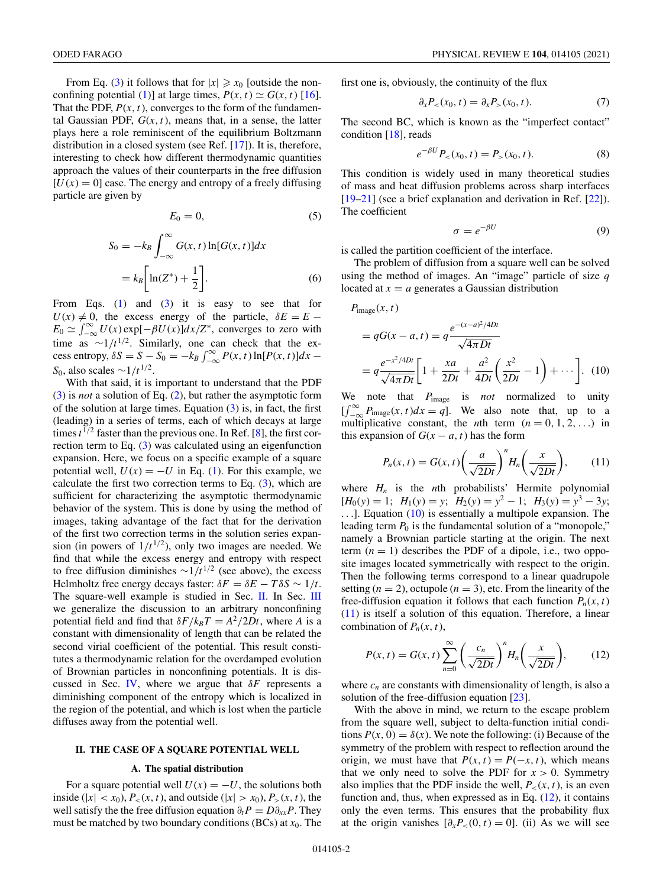<span id="page-1-0"></span>From Eq. [\(3\)](#page-0-0) it follows that for  $|x| \ge x_0$  [outside the non-confining potential [\(1\)](#page-0-0)] at large times,  $P(x, t) \simeq G(x, t)$  [\[16\]](#page-7-0). That the PDF,  $P(x, t)$ , converges to the form of the fundamental Gaussian PDF,  $G(x, t)$ , means that, in a sense, the latter plays here a role reminiscent of the equilibrium Boltzmann distribution in a closed system (see Ref. [\[17\]](#page-7-0)). It is, therefore, interesting to check how different thermodynamic quantities approach the values of their counterparts in the free diffusion  $[U(x) = 0]$  case. The energy and entropy of a freely diffusing particle are given by

$$
E_0 = 0,\t\t(5)
$$

$$
S_0 = -k_B \int_{-\infty}^{\infty} G(x, t) \ln[G(x, t)] dx
$$

$$
= k_B \left[ \ln(Z^*) + \frac{1}{2} \right].
$$
 (6)

From Eqs.  $(1)$  and  $(3)$  it is easy to see that for  $U(x) \neq 0$ , the excess energy of the particle,  $\delta E = E E_0 \simeq \int_{-\infty}^{\infty} U(x) \exp[-\beta U(x)] dx/Z^*$ , converges to zero with time as  $\sim 1/t^{1/2}$ . Similarly, one can check that the ex- $\csc s$  entropy,  $\delta S = S - S_0 = -k_B \int_{-\infty}^{\infty} P(x, t) \ln[P(x, t)] dx -$ *S*<sub>0</sub>, also scales  $\sim$ 1/*t*<sup>1/2</sup>.

With that said, it is important to understand that the PDF [\(3\)](#page-0-0) is *not* a solution of Eq. [\(2\)](#page-0-0), but rather the asymptotic form of the solution at large times. Equation  $(3)$  is, in fact, the first (leading) in a series of terms, each of which decays at large times  $t^{1/2}$  faster than the previous one. In Ref. [\[8\]](#page-7-0), the first correction term to Eq. [\(3\)](#page-0-0) was calculated using an eigenfunction expansion. Here, we focus on a specific example of a square potential well,  $U(x) = -U$  in Eq. [\(1\)](#page-0-0). For this example, we calculate the first two correction terms to Eq.  $(3)$ , which are sufficient for characterizing the asymptotic thermodynamic behavior of the system. This is done by using the method of images, taking advantage of the fact that for the derivation of the first two correction terms in the solution series expansion (in powers of  $1/t^{1/2}$ ), only two images are needed. We find that while the excess energy and entropy with respect to free diffusion diminishes  $\sim 1/t^{1/2}$  (see above), the excess Helmholtz free energy decays faster:  $\delta F = \delta E - T \delta S \sim 1/t$ . The square-well example is studied in Sec. II. In Sec. [III](#page-3-0) we generalize the discussion to an arbitrary nonconfining potential field and find that  $\delta F / k_B T = A^2 / 2Dt$ , where *A* is a constant with dimensionality of length that can be related the second virial coefficient of the potential. This result constitutes a thermodynamic relation for the overdamped evolution of Brownian particles in nonconfining potentials. It is dis-cussed in Sec. [IV,](#page-6-0) where we argue that  $\delta F$  represents a diminishing component of the entropy which is localized in the region of the potential, and which is lost when the particle diffuses away from the potential well.

#### **II. THE CASE OF A SQUARE POTENTIAL WELL**

#### **A. The spatial distribution**

For a square potential well  $U(x) = -U$ , the solutions both inside ( $|x| < x_0$ ),  $P_<(x, t)$ , and outside ( $|x| > x_0$ ),  $P_>(x, t)$ , the well satisfy the the free diffusion equation  $\partial_t P = D \partial_{xx} P$ . They must be matched by two boundary conditions (BCs) at *x*0. The first one is, obviously, the continuity of the flux

$$
\partial_x P_{<} (x_0, t) = \partial_x P_{>} (x_0, t). \tag{7}
$$

The second BC, which is known as the "imperfect contact" condition [\[18\]](#page-7-0), reads

$$
e^{-\beta U}P_{<} (x_0, t) = P_{>} (x_0, t). \tag{8}
$$

This condition is widely used in many theoretical studies of mass and heat diffusion problems across sharp interfaces [\[19–21\]](#page-7-0) (see a brief explanation and derivation in Ref. [\[22\]](#page-7-0)). The coefficient

$$
\sigma = e^{-\beta U} \tag{9}
$$

is called the partition coefficient of the interface.

The problem of diffusion from a square well can be solved using the method of images. An "image" particle of size *q* located at  $x = a$  generates a Gaussian distribution

$$
P_{\text{image}}(x, t)
$$
  
=  $qG(x - a, t) = q \frac{e^{-(x - a)^2/4Dt}}{\sqrt{4\pi Dt}}$   
=  $q \frac{e^{-x^2/4Dt}}{\sqrt{4\pi Dt}} \left[ 1 + \frac{xa}{2Dt} + \frac{a^2}{4Dt} \left( \frac{x^2}{2Dt} - 1 \right) + \cdots \right].$  (10)

We note that *P*image is *not* normalized to unity  $\iint_{-\infty}^{\infty} P_{\text{image}}(x, t) dx = q$ . We also note that, up to a multiplicative constant, the *n*th term  $(n = 0, 1, 2, ...)$  in this expansion of  $G(x - a, t)$  has the form

$$
P_n(x,t) = G(x,t) \left(\frac{a}{\sqrt{2Dt}}\right)^n H_n\left(\frac{x}{\sqrt{2Dt}}\right),\qquad(11)
$$

where  $H_n$  is the *n*th probabilists' Hermite polynomial  $[H_0(y) = 1; H_1(y) = y; H_2(y) = y^2 - 1; H_3(y) = y^3 - 3y;$ ...]. Equation (10) is essentially a multipole expansion. The leading term  $P_0$  is the fundamental solution of a "monopole," namely a Brownian particle starting at the origin. The next term  $(n = 1)$  describes the PDF of a dipole, i.e., two opposite images located symmetrically with respect to the origin. Then the following terms correspond to a linear quadrupole setting  $(n = 2)$ , octupole  $(n = 3)$ , etc. From the linearity of the free-diffusion equation it follows that each function  $P_n(x, t)$ (11) is itself a solution of this equation. Therefore, a linear combination of  $P_n(x, t)$ ,

$$
P(x,t) = G(x,t) \sum_{n=0}^{\infty} \left(\frac{c_n}{\sqrt{2Dt}}\right)^n H_n\left(\frac{x}{\sqrt{2Dt}}\right),\qquad(12)
$$

where  $c_n$  are constants with dimensionality of length, is also a solution of the free-diffusion equation [\[23\]](#page-7-0).

With the above in mind, we return to the escape problem from the square well, subject to delta-function initial conditions  $P(x, 0) = \delta(x)$ . We note the following: (i) Because of the symmetry of the problem with respect to reflection around the origin, we must have that  $P(x, t) = P(-x, t)$ , which means that we only need to solve the PDF for  $x > 0$ . Symmetry also implies that the PDF inside the well,  $P_<(x, t)$ , is an even function and, thus, when expressed as in Eq.  $(12)$ , it contains only the even terms. This ensures that the probability flux at the origin vanishes  $[\partial_x P_{<}(0, t) = 0]$ . (ii) As we will see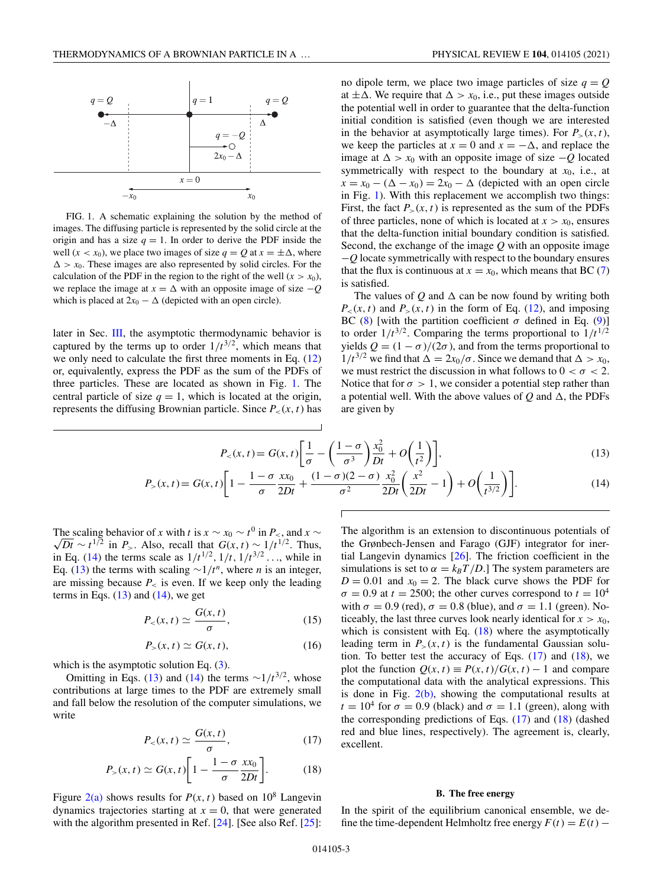<span id="page-2-0"></span>

FIG. 1. A schematic explaining the solution by the method of images. The diffusing particle is represented by the solid circle at the origin and has a size  $q = 1$ . In order to derive the PDF inside the well (*x* < *x*<sub>0</sub>), we place two images of size  $q = Q$  at  $x = \pm \Delta$ , where  $\Delta > x_0$ . These images are also represented by solid circles. For the calculation of the PDF in the region to the right of the well  $(x > x_0)$ , we replace the image at  $x = \Delta$  with an opposite image of size  $-Q$ which is placed at  $2x_0 - \Delta$  (depicted with an open circle).

later in Sec. [III,](#page-3-0) the asymptotic thermodynamic behavior is captured by the terms up to order  $1/t^{3/2}$ , which means that we only need to calculate the first three moments in Eq. [\(12\)](#page-1-0) or, equivalently, express the PDF as the sum of the PDFs of three particles. These are located as shown in Fig. 1. The central particle of size  $q = 1$ , which is located at the origin, represents the diffusing Brownian particle. Since  $P_<(x,t)$  has

no dipole term, we place two image particles of size  $q = Q$ at  $\pm \Delta$ . We require that  $\Delta > x_0$ , i.e., put these images outside the potential well in order to guarantee that the delta-function initial condition is satisfied (even though we are interested in the behavior at asymptotically large times). For  $P_>(x, t)$ , we keep the particles at  $x = 0$  and  $x = -\Delta$ , and replace the image at  $\Delta$  >  $x_0$  with an opposite image of size  $-Q$  located symmetrically with respect to the boundary at  $x_0$ , i.e., at  $x = x_0 - (\Delta - x_0) = 2x_0 - \Delta$  (depicted with an open circle in Fig. 1). With this replacement we accomplish two things: First, the fact  $P_>(x, t)$  is represented as the sum of the PDFs of three particles, none of which is located at  $x > x_0$ , ensures that the delta-function initial boundary condition is satisfied. Second, the exchange of the image *Q* with an opposite image −*Q* locate symmetrically with respect to the boundary ensures that the flux is continuous at  $x = x_0$ , which means that BC [\(7\)](#page-1-0) is satisfied.

The values of  $Q$  and  $\Delta$  can be now found by writing both  $P_<(x,t)$  and  $P_>(x,t)$  in the form of Eq. [\(12\)](#page-1-0), and imposing BC [\(8\)](#page-1-0) [with the partition coefficient  $\sigma$  defined in Eq. [\(9\)](#page-1-0)] to order  $1/t^{3/2}$ . Comparing the terms proportional to  $1/t^{1/2}$ yields  $Q = (1 - \sigma)/(2\sigma)$ , and from the terms proportional to  $1/t^{3/2}$  we find that  $\Delta = 2x_0/\sigma$ . Since we demand that  $\Delta > x_0$ , we must restrict the discussion in what follows to  $0 < \sigma < 2$ . Notice that for  $\sigma > 1$ , we consider a potential step rather than a potential well. With the above values of  $Q$  and  $\Delta$ , the PDFs are given by

$$
P_{\leq}(x,t) = G(x,t) \left[ \frac{1}{\sigma} - \left( \frac{1-\sigma}{\sigma^3} \right) \frac{x_0^2}{Dt} + O\left( \frac{1}{t^2} \right) \right],
$$
\n
$$
t) = G(x,t) \left[ 1 - \frac{1-\sigma}{\sigma^2} \frac{x x_0}{Dt} + \frac{(1-\sigma)(2-\sigma)}{2} \frac{x_0^2}{Dt} \left( \frac{x^2}{Dt} - 1 \right) + O\left( \frac{1}{Dt} \right) \right]
$$
\n(14)

$$
P_{>}(x,t) = G(x,t)\left[1 - \frac{1-\sigma}{\sigma} \frac{x x_0}{2Dt} + \frac{(1-\sigma)(2-\sigma)}{\sigma^2} \frac{x_0^2}{2Dt} \left(\frac{x^2}{2Dt} - 1\right) + O\left(\frac{1}{t^{3/2}}\right)\right].
$$
 (14)

The scaling behavior of *x* with *t* is  $x \sim x_0 \sim t^0$  in  $P_{\leq x}$  and  $x \sim t^0$  $\sqrt{Dt}$  ∼ *t*<sup>1/2</sup> in *P*<sub>></sub>. Also, recall that  $G(x, t) \sim 1/t^{1/2}$ . Thus, in Eq. (14) the terms scale as  $1/t^{1/2}$ ,  $1/t$ ,  $1/t^{3/2}$ ..., while in Eq. (13) the terms with scaling  $\sim 1/t^n$ , where *n* is an integer, are missing because  $P_{\leq}$  is even. If we keep only the leading terms in Eqs.  $(13)$  and  $(14)$ , we get

$$
P_{<}(x,t) \simeq \frac{G(x,t)}{\sigma},\tag{15}
$$

$$
P_{>}(x,t) \simeq G(x,t),\tag{16}
$$

which is the asymptotic solution Eq.  $(3)$ .

Omitting in Eqs. (13) and (14) the terms  $\sim 1/t^{3/2}$ , whose contributions at large times to the PDF are extremely small and fall below the resolution of the computer simulations, we write

$$
P_{\leq}(x,t) \simeq \frac{G(x,t)}{\sigma},\tag{17}
$$

$$
P_{>}(x,t) \simeq G(x,t) \bigg[ 1 - \frac{1 - \sigma}{\sigma} \frac{x x_0}{2Dt} \bigg]. \tag{18}
$$

Figure  $2(a)$  shows results for  $P(x, t)$  based on  $10^8$  Langevin dynamics trajectories starting at  $x = 0$ , that were generated with the algorithm presented in Ref. [\[24\]](#page-7-0). [See also Ref. [\[25\]](#page-7-0):

The algorithm is an extension to discontinuous potentials of the Grønbech-Jensen and Farago (GJF) integrator for inertial Langevin dynamics [\[26\]](#page-7-0). The friction coefficient in the simulations is set to  $\alpha = k_B T/D$ .] The system parameters are  $D = 0.01$  and  $x_0 = 2$ . The black curve shows the PDF for  $\sigma = 0.9$  at  $t = 2500$ ; the other curves correspond to  $t = 10^4$ with  $\sigma = 0.9$  (red),  $\sigma = 0.8$  (blue), and  $\sigma = 1.1$  (green). Noticeably, the last three curves look nearly identical for  $x > x_0$ , which is consistent with Eq.  $(18)$  where the asymptotically leading term in  $P_>(x,t)$  is the fundamental Gaussian solution. To better test the accuracy of Eqs.  $(17)$  and  $(18)$ , we plot the function  $Q(x, t) \equiv P(x, t)/G(x, t) - 1$  and compare the computational data with the analytical expressions. This is done in Fig.  $2(b)$ , showing the computational results at  $t = 10^4$  for  $\sigma = 0.9$  (black) and  $\sigma = 1.1$  (green), along with the corresponding predictions of Eqs.  $(17)$  and  $(18)$  (dashed red and blue lines, respectively). The agreement is, clearly, excellent.

### **B. The free energy**

In the spirit of the equilibrium canonical ensemble, we define the time-dependent Helmholtz free energy  $F(t) = E(t) -$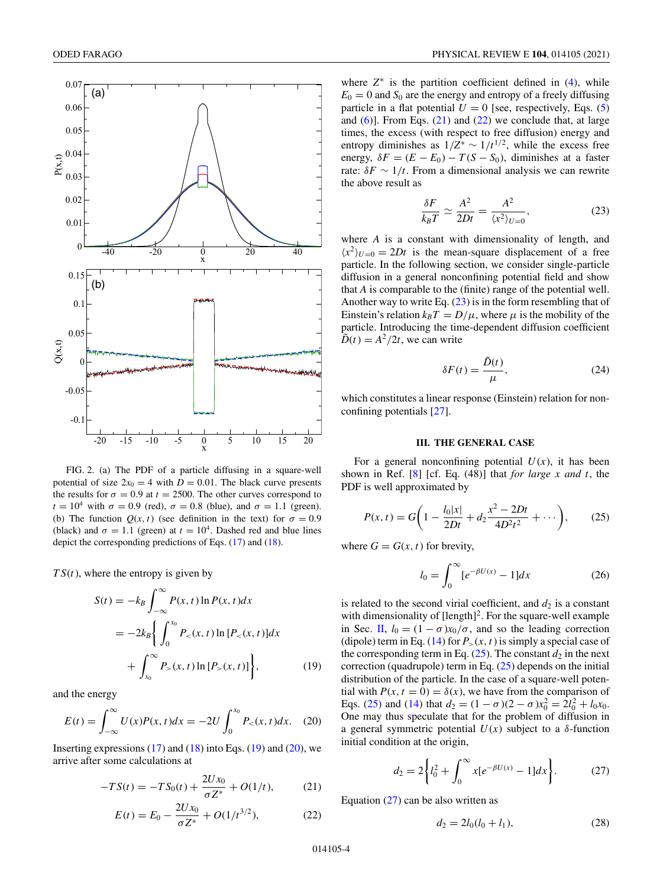<span id="page-3-0"></span>

FIG. 2. (a) The PDF of a particle diffusing in a square-well potential of size  $2x_0 = 4$  with  $D = 0.01$ . The black curve presents the results for  $\sigma = 0.9$  at  $t = 2500$ . The other curves correspond to  $t = 10^4$  with  $\sigma = 0.9$  (red),  $\sigma = 0.8$  (blue), and  $\sigma = 1.1$  (green). (b) The function  $Q(x, t)$  (see definition in the text) for  $\sigma = 0.9$ (black) and  $\sigma = 1.1$  (green) at  $t = 10^4$ . Dashed red and blue lines depict the corresponding predictions of Eqs. [\(17\)](#page-2-0) and [\(18\)](#page-2-0).

 $TS(t)$ , where the entropy is given by

$$
S(t) = -k_B \int_{-\infty}^{\infty} P(x, t) \ln P(x, t) dx
$$
  
=  $-2k_B \left\{ \int_{0}^{x_0} P_{\le}(x, t) \ln [P_{\le}(x, t)] dx + \int_{x_0}^{\infty} P_{\ge}(x, t) \ln [P_{\ge}(x, t)] \right\},$  (19)

and the energy

$$
E(t) = \int_{-\infty}^{\infty} U(x)P(x,t)dx = -2U \int_{0}^{x_0} P_{\le}(x,t)dx.
$$
 (20)

Inserting expressions  $(17)$  and  $(18)$  into Eqs.  $(19)$  and  $(20)$ , we arrive after some calculations at

$$
-TS(t) = -TS_0(t) + \frac{2Ux_0}{\sigma Z^*} + O(1/t),\tag{21}
$$

$$
E(t) = E_0 - \frac{2Ux_0}{\sigma Z^*} + O(1/t^{3/2}),
$$
 (22)

where  $Z^*$  is the partition coefficient defined in  $(4)$ , while  $E_0 = 0$  and  $S_0$  are the energy and entropy of a freely diffusing particle in a flat potential  $U = 0$  [see, respectively, Eqs. [\(5\)](#page-1-0) and  $(6)$ ]. From Eqs.  $(21)$  and  $(22)$  we conclude that, at large times, the excess (with respect to free diffusion) energy and entropy diminishes as  $1/Z^* \sim 1/t^{1/2}$ , while the excess free energy,  $\delta F = (E - E_0) - T(S - S_0)$ , diminishes at a faster rate:  $\delta F \sim 1/t$ . From a dimensional analysis we can rewrite the above result as

$$
\frac{\delta F}{k_B T} \simeq \frac{A^2}{2Dt} = \frac{A^2}{\langle x^2 \rangle_{U=0}},\tag{23}
$$

where *A* is a constant with dimensionality of length, and  $\langle x^2 \rangle_{U=0} = 2Dt$  is the mean-square displacement of a free particle. In the following section, we consider single-particle diffusion in a general nonconfining potential field and show that *A* is comparable to the (finite) range of the potential well. Another way to write Eq.  $(23)$  is in the form resembling that of Einstein's relation  $k_B T = D/\mu$ , where  $\mu$  is the mobility of the particle. Introducing the time-dependent diffusion coefficient  $\tilde{D}(t) = A^2/2t$ , we can write

$$
\delta F(t) = \frac{\tilde{D}(t)}{\mu},\tag{24}
$$

which constitutes a linear response (Einstein) relation for nonconfining potentials [\[27\]](#page-7-0).

# **III. THE GENERAL CASE**

For a general nonconfining potential  $U(x)$ , it has been shown in Ref. [\[8\]](#page-7-0) [cf. Eq. (48)] that *for large x and t*, the PDF is well approximated by

$$
P(x,t) = G\left(1 - \frac{l_0|x|}{2Dt} + d_2 \frac{x^2 - 2Dt}{4D^2t^2} + \cdots\right),\tag{25}
$$

where  $G = G(x, t)$  for brevity,

$$
l_0 = \int_0^\infty [e^{-\beta U(x)} - 1] dx \tag{26}
$$

is related to the second virial coefficient, and  $d_2$  is a constant with dimensionality of  $[length]^2$ . For the square-well example in Sec. [II,](#page-1-0)  $l_0 = (1 - \sigma)x_0/\sigma$ , and so the leading correction (dipole) term in Eq. [\(14\)](#page-2-0) for  $P_>(x, t)$  is simply a special case of the corresponding term in Eq.  $(25)$ . The constant  $d_2$  in the next correction (quadrupole) term in Eq. (25) depends on the initial distribution of the particle. In the case of a square-well potential with  $P(x, t = 0) = \delta(x)$ , we have from the comparison of Eqs. (25) and [\(14\)](#page-2-0) that  $d_2 = (1 - \sigma)(2 - \sigma)x_0^2 = 2l_0^2 + l_0x_0$ . One may thus speculate that for the problem of diffusion in a general symmetric potential  $U(x)$  subject to a  $\delta$ -function initial condition at the origin,

$$
d_2 = 2\left\{l_0^2 + \int_0^\infty x[e^{-\beta U(x)} - 1]dx\right\}.
$$
 (27)

Equation  $(27)$  can be also written as

$$
d_2 = 2l_0(l_0 + l_1),\tag{28}
$$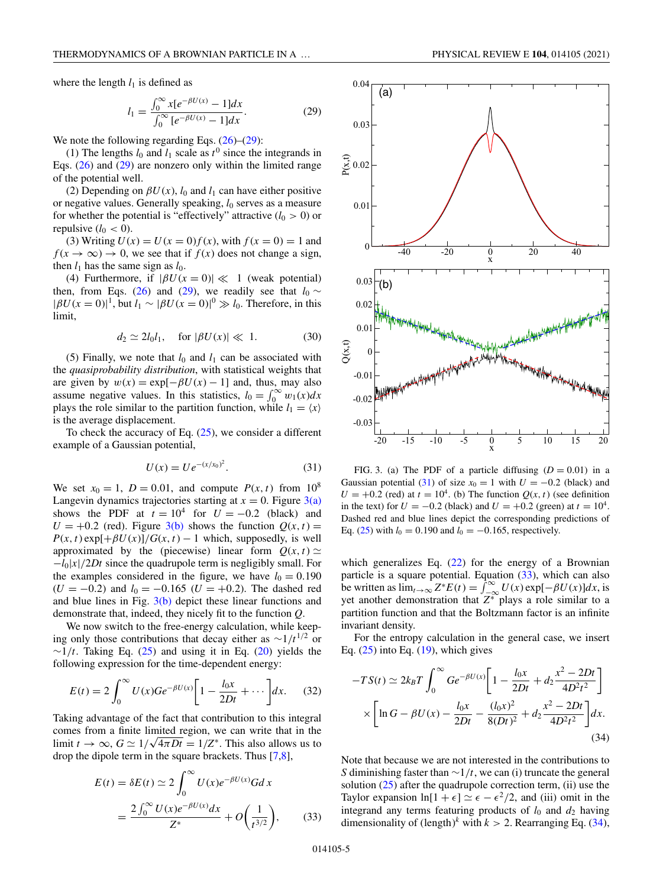<span id="page-4-0"></span>where the length  $l_1$  is defined as

$$
l_1 = \frac{\int_0^\infty x[e^{-\beta U(x)} - 1]dx}{\int_0^\infty [e^{-\beta U(x)} - 1]dx}.
$$
 (29)

We note the following regarding Eqs.  $(26)$ – $(29)$ :

(1) The lengths  $l_0$  and  $l_1$  scale as  $t^0$  since the integrands in Eqs. [\(26\)](#page-3-0) and (29) are nonzero only within the limited range of the potential well.

(2) Depending on  $\beta U(x)$ ,  $l_0$  and  $l_1$  can have either positive or negative values. Generally speaking,  $l_0$  serves as a measure for whether the potential is "effectively" attractive  $(l_0 > 0)$  or repulsive  $(l_0 < 0)$ .

(3) Writing  $U(x) = U(x = 0) f(x)$ , with  $f(x = 0) = 1$  and  $f(x \to \infty) \to 0$ , we see that if  $f(x)$  does not change a sign, then  $l_1$  has the same sign as  $l_0$ .

(4) Furthermore, if  $|\beta U(x=0)| \ll 1$  (weak potential) then, from Eqs. [\(26\)](#page-3-0) and (29), we readily see that  $l_0 \sim$  $|\beta U(x=0)|^1$ , but  $l_1 \sim |\beta U(x=0)|^0 \gg l_0$ . Therefore, in this limit,

$$
d_2 \simeq 2l_0l_1, \quad \text{for } |\beta U(x)| \ll 1. \tag{30}
$$

(5) Finally, we note that  $l_0$  and  $l_1$  can be associated with the *quasiprobability distribution*, with statistical weights that are given by  $w(x) = \exp[-\beta U(x) - 1]$  and, thus, may also assume negative values. In this statistics,  $l_0 = \int_0^\infty w_1(x) dx$ plays the role similar to the partition function, while  $l_1 = \langle x \rangle$ is the average displacement.

To check the accuracy of Eq. [\(25\)](#page-3-0), we consider a different example of a Gaussian potential,

$$
U(x) = U e^{-(x/x_0)^2}.
$$
 (31)

We set  $x_0 = 1$ ,  $D = 0.01$ , and compute  $P(x, t)$  from  $10^8$ Langevin dynamics trajectories starting at  $x = 0$ . Figure  $3(a)$ shows the PDF at  $t = 10^4$  for  $U = -0.2$  (black) and  $U = +0.2$  (red). Figure 3(b) shows the function  $Q(x, t) =$  $P(x, t) \exp[\frac{\mu}{\theta}U(x)]/G(x, t) - 1$  which, supposedly, is well approximated by the (piecewise) linear form  $Q(x, t) \simeq$ −*l*0|*x*|/2*Dt* since the quadrupole term is negligibly small. For the examples considered in the figure, we have  $l_0 = 0.190$  $(U = -0.2)$  and  $l_0 = -0.165$   $(U = +0.2)$ . The dashed red and blue lines in Fig.  $3(b)$  depict these linear functions and demonstrate that, indeed, they nicely fit to the function *Q*.

We now switch to the free-energy calculation, while keeping only those contributions that decay either as  $\sim$ 1/*t*<sup>1/2</sup> or  $\sim$ 1/*t*. Taking Eq. [\(25\)](#page-3-0) and using it in Eq. [\(20\)](#page-3-0) yields the following expression for the time-dependent energy:

$$
E(t) = 2\int_0^\infty U(x)Ge^{-\beta U(x)}\bigg[1-\frac{l_0x}{2Dt}+\cdots\bigg]dx.\qquad(32)
$$

Taking advantage of the fact that contribution to this integral comes from a finite limited region, we can write that in the limit  $t \to \infty$ ,  $G \simeq 1/\sqrt{4\pi Dt} = 1/Z^*$ . This also allows us to drop the dipole term in the square brackets. Thus [\[7,8\]](#page-7-0),

$$
E(t) = \delta E(t) \simeq 2 \int_0^\infty U(x) e^{-\beta U(x)} G dx
$$
  
=  $\frac{2 \int_0^\infty U(x) e^{-\beta U(x)} dx}{Z^*} + O\left(\frac{1}{t^{3/2}}\right),$  (33)



FIG. 3. (a) The PDF of a particle diffusing  $(D = 0.01)$  in a Gaussian potential (31) of size  $x_0 = 1$  with  $U = -0.2$  (black) and  $U = +0.2$  (red) at  $t = 10^4$ . (b) The function  $Q(x, t)$  (see definition in the text) for  $U = -0.2$  (black) and  $U = +0.2$  (green) at  $t = 10^4$ . Dashed red and blue lines depict the corresponding predictions of Eq. [\(25\)](#page-3-0) with  $l_0 = 0.190$  and  $l_0 = -0.165$ , respectively.

which generalizes Eq.  $(22)$  for the energy of a Brownian particle is a square potential. Equation  $(33)$ , which can also be written as  $\lim_{t\to\infty} Z^*E(t) = \int_{-\infty}^{\infty} U(x) \exp[-\beta U(x)]dx$ , is yet another demonstration that  $Z^*$  plays a role similar to a partition function and that the Boltzmann factor is an infinite invariant density.

For the entropy calculation in the general case, we insert Eq.  $(25)$  into Eq.  $(19)$ , which gives

$$
-TS(t) \simeq 2k_B T \int_0^\infty Ge^{-\beta U(x)} \left[ 1 - \frac{l_0 x}{2Dt} + d_2 \frac{x^2 - 2Dt}{4D^2 t^2} \right]
$$

$$
\times \left[ \ln G - \beta U(x) - \frac{l_0 x}{2Dt} - \frac{(l_0 x)^2}{8(Dt)^2} + d_2 \frac{x^2 - 2Dt}{4D^2 t^2} \right] dx.
$$
(34)

Note that because we are not interested in the contributions to *S* diminishing faster than ∼1/*t*, we can (i) truncate the general solution  $(25)$  after the quadrupole correction term, (ii) use the Taylor expansion  $\ln[1 + \epsilon] \simeq \epsilon - \epsilon^2/2$ , and (iii) omit in the integrand any terms featuring products of  $l_0$  and  $d_2$  having dimensionality of  $(\text{length})^k$  with  $k > 2$ . Rearranging Eq. (34),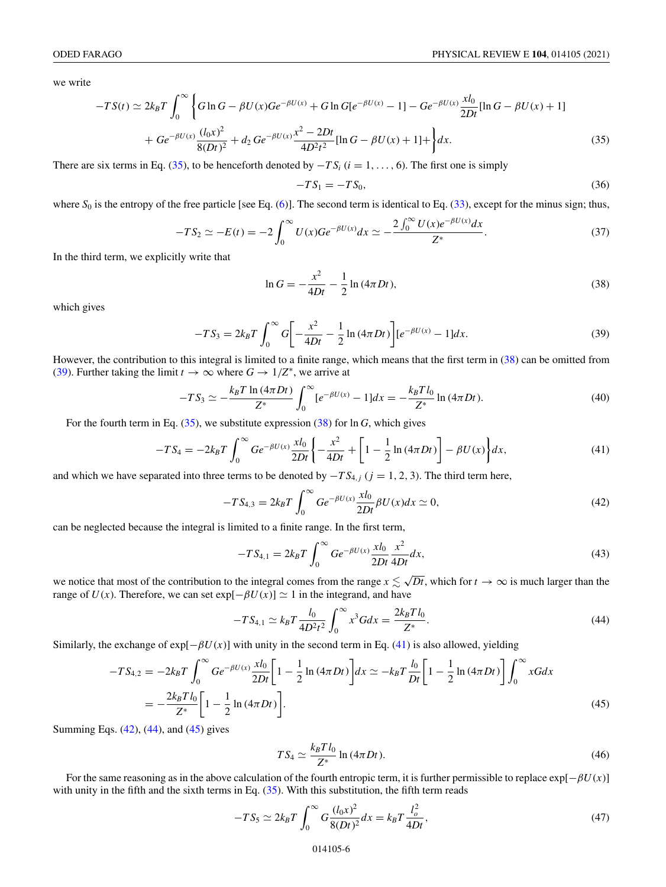<span id="page-5-0"></span>we write

$$
-TS(t) \simeq 2k_B T \int_0^\infty \left\{ G \ln G - \beta U(x) G e^{-\beta U(x)} + G \ln G [e^{-\beta U(x)} - 1] - G e^{-\beta U(x)} \frac{x l_0}{2Dt} [\ln G - \beta U(x) + 1] + G e^{-\beta U(x)} \frac{(l_0 x)^2}{8(Dt)^2} + d_2 G e^{-\beta U(x)} \frac{x^2 - 2Dt}{4D^2 t^2} [\ln G - \beta U(x) + 1] + \right\} dx.
$$
 (35)

There are six terms in Eq. (35), to be henceforth denoted by  $-TS_i$  ( $i = 1, \ldots, 6$ ). The first one is simply

$$
-TS_1 = -TS_0,\tag{36}
$$

where  $S_0$  is the entropy of the free particle [see Eq.  $(6)$ ]. The second term is identical to Eq.  $(33)$ , except for the minus sign; thus,

$$
-TS_2 \simeq -E(t) = -2 \int_0^\infty U(x) Ge^{-\beta U(x)} dx \simeq -\frac{2 \int_0^\infty U(x) e^{-\beta U(x)} dx}{Z^*}.
$$
 (37)

In the third term, we explicitly write that

$$
\ln G = -\frac{x^2}{4Dt} - \frac{1}{2}\ln(4\pi Dt),\tag{38}
$$

which gives

$$
-TS_3 = 2k_B T \int_0^\infty G \left[ -\frac{x^2}{4Dt} - \frac{1}{2} \ln (4\pi Dt) \right] \left[ e^{-\beta U(x)} - 1 \right] dx.
$$
 (39)

However, the contribution to this integral is limited to a finite range, which means that the first term in (38) can be omitted from (39). Further taking the limit  $t \to \infty$  where  $G \to 1/Z^*$ , we arrive at

$$
-TS_3 \simeq -\frac{k_B T \ln (4\pi Dt)}{Z^*} \int_0^\infty [e^{-\beta U(x)} - 1] dx = -\frac{k_B T l_0}{Z^*} \ln (4\pi Dt). \tag{40}
$$

For the fourth term in Eq. (35), we substitute expression (38) for ln *G*, which gives

$$
-TS_4 = -2k_B T \int_0^\infty Ge^{-\beta U(x)} \frac{x l_0}{2Dt} \left\{ -\frac{x^2}{4Dt} + \left[ 1 - \frac{1}{2} \ln \left( 4\pi Dt \right) \right] - \beta U(x) \right\} dx,\tag{41}
$$

and which we have separated into three terms to be denoted by  $-TS_{4,i}$  ( $j = 1, 2, 3$ ). The third term here,

$$
-TS_{4,3} = 2k_B T \int_0^\infty Ge^{-\beta U(x)} \frac{x l_0}{2Dt} \beta U(x) dx \simeq 0,
$$
\n(42)

can be neglected because the integral is limited to a finite range. In the first term,

$$
-TS_{4,1} = 2k_B T \int_0^\infty Ge^{-\beta U(x)} \frac{x l_0}{2Dt} \frac{x^2}{4Dt} dx,
$$
\n(43)

we notice that most of the contribution to the integral comes from the range  $x \leq \sqrt{Dt}$ , which for  $t \to \infty$  is much larger than the range of  $U(x)$ . Therefore, we can set  $exp[-\beta U(x)] \simeq 1$  in the integrand, and have

$$
-TS_{4,1} \simeq k_B T \frac{l_0}{4D^2 t^2} \int_0^\infty x^3 G dx = \frac{2k_B T l_0}{Z^*}.
$$
\n(44)

Similarly, the exchange of  $exp[-\beta U(x)]$  with unity in the second term in Eq. (41) is also allowed, yielding

$$
-TS_{4,2} = -2k_B T \int_0^\infty Ge^{-\beta U(x)} \frac{x l_0}{2Dt} \left[ 1 - \frac{1}{2} \ln (4\pi Dt) \right] dx \simeq -k_B T \frac{l_0}{Dt} \left[ 1 - \frac{1}{2} \ln (4\pi Dt) \right] \int_0^\infty xG dx
$$
  
= 
$$
-\frac{2k_B T l_0}{Z^*} \left[ 1 - \frac{1}{2} \ln (4\pi Dt) \right].
$$
 (45)

Summing Eqs. (42), (44), and (45) gives

$$
TS_4 \simeq \frac{k_B T l_0}{Z^*} \ln \left( 4\pi Dt \right). \tag{46}
$$

For the same reasoning as in the above calculation of the fourth entropic term, it is further permissible to replace  $\exp[-\beta U(x)]$ with unity in the fifth and the sixth terms in Eq.  $(35)$ . With this substitution, the fifth term reads

$$
-TS_5 \simeq 2k_B T \int_0^\infty G \frac{(l_0 x)^2}{8(Dt)^2} dx = k_B T \frac{l_o^2}{4Dt},
$$
\n(47)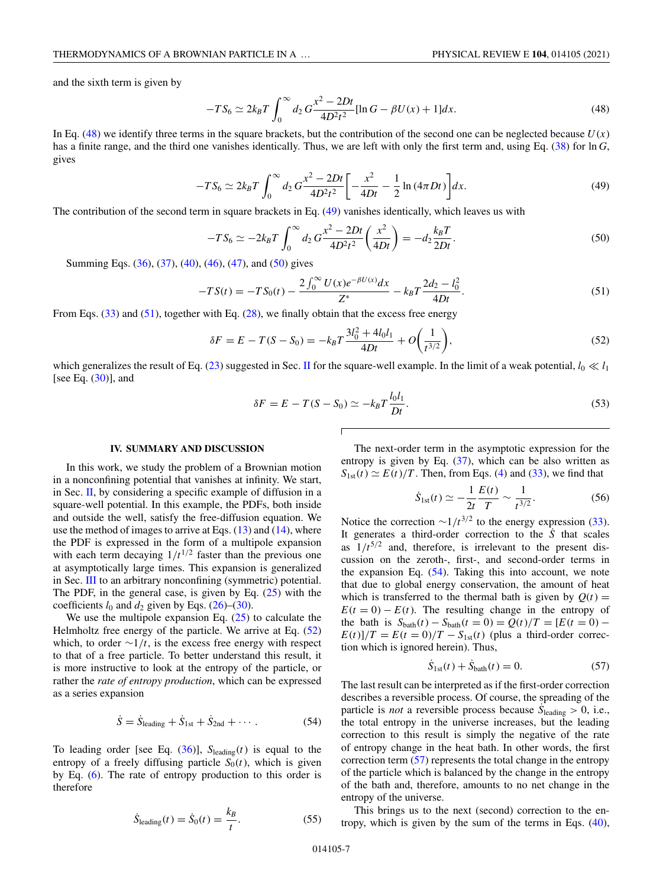<span id="page-6-0"></span>and the sixth term is given by

$$
-TS_6 \simeq 2k_B T \int_0^\infty d_2 G \frac{x^2 - 2Dt}{4D^2 t^2} [\ln G - \beta U(x) + 1] dx.
$$
 (48)

In Eq.  $(48)$  we identify three terms in the square brackets, but the contribution of the second one can be neglected because  $U(x)$ has a finite range, and the third one vanishes identically. Thus, we are left with only the first term and, using Eq. [\(38\)](#page-5-0) for ln *G*, gives

$$
-TS_6 \simeq 2k_B T \int_0^\infty d_2 G \frac{x^2 - 2Dt}{4D^2 t^2} \bigg[ -\frac{x^2}{4Dt} - \frac{1}{2} \ln \left( 4\pi Dt \right) \bigg] dx. \tag{49}
$$

The contribution of the second term in square brackets in Eq. (49) vanishes identically, which leaves us with

$$
-TS_6 \simeq -2k_B T \int_0^\infty d_2 G \frac{x^2 - 2Dt}{4D^2 t^2} \left(\frac{x^2}{4Dt}\right) = -d_2 \frac{k_B T}{2Dt}.
$$
\n(50)

Summing Eqs. [\(36\)](#page-5-0), [\(37\)](#page-5-0), [\(40\)](#page-5-0), [\(46\)](#page-5-0), [\(47\)](#page-5-0), and (50) gives

$$
-TS(t) = -TS_0(t) - \frac{2\int_0^\infty U(x)e^{-\beta U(x)}dx}{Z^*} - k_BT\frac{2d_2 - l_0^2}{4Dt}.
$$
\n(51)

From Eqs.  $(33)$  and  $(51)$ , together with Eq.  $(28)$ , we finally obtain that the excess free energy

$$
\delta F = E - T(S - S_0) = -k_B T \frac{3l_0^2 + 4l_0l_1}{4Dt} + O\left(\frac{1}{t^{3/2}}\right),\tag{52}
$$

which generalizes the result of Eq. [\(23\)](#page-3-0) suggested in Sec. [II](#page-1-0) for the square-well example. In the limit of a weak potential,  $l_0 \ll l_1$ [see Eq.  $(30)$ ], and

$$
\delta F = E - T(S - S_0) \simeq -k_B T \frac{l_0 l_1}{Dt}.
$$
\n
$$
(53)
$$

#### **IV. SUMMARY AND DISCUSSION**

In this work, we study the problem of a Brownian motion in a nonconfining potential that vanishes at infinity. We start, in Sec. [II,](#page-1-0) by considering a specific example of diffusion in a square-well potential. In this example, the PDFs, both inside and outside the well, satisfy the free-diffusion equation. We use the method of images to arrive at Eqs.  $(13)$  and  $(14)$ , where the PDF is expressed in the form of a multipole expansion with each term decaying  $1/t^{1/2}$  faster than the previous one at asymptotically large times. This expansion is generalized in Sec. [III](#page-3-0) to an arbitrary nonconfining (symmetric) potential. The PDF, in the general case, is given by Eq.  $(25)$  with the coefficients  $l_0$  and  $d_2$  given by Eqs. [\(26\)](#page-3-0)–[\(30\)](#page-4-0).

We use the multipole expansion Eq.  $(25)$  to calculate the Helmholtz free energy of the particle. We arrive at Eq. (52) which, to order  $\sim 1/t$ , is the excess free energy with respect to that of a free particle. To better understand this result, it is more instructive to look at the entropy of the particle, or rather the *rate of entropy production*, which can be expressed as a series expansion

$$
\dot{S} = \dot{S}_{\text{leading}} + \dot{S}_{1st} + \dot{S}_{2nd} + \cdots. \tag{54}
$$

To leading order [see Eq.  $(36)$ ],  $S_{\text{leading}}(t)$  is equal to the entropy of a freely diffusing particle  $S_0(t)$ , which is given by Eq. [\(6\)](#page-1-0). The rate of entropy production to this order is therefore

$$
\dot{S}_{\text{leading}}(t) = \dot{S}_0(t) = \frac{k_B}{t}.\tag{55}
$$

The next-order term in the asymptotic expression for the entropy is given by Eq.  $(37)$ , which can be also written as  $S_{1st}(t) \simeq E(t)/T$ . Then, from Eqs. [\(4\)](#page-0-0) and [\(33\)](#page-4-0), we find that

$$
\dot{S}_{1st}(t) \simeq -\frac{1}{2t} \frac{E(t)}{T} \sim \frac{1}{t^{3/2}}.
$$
 (56)

Notice the correction  $\sim 1/t^{3/2}$  to the energy expression [\(33\)](#page-4-0). It generates a third-order correction to the  $\dot{S}$  that scales as  $1/t^{5/2}$  and, therefore, is irrelevant to the present discussion on the zeroth-, first-, and second-order terms in the expansion Eq. (54). Taking this into account, we note that due to global energy conservation, the amount of heat which is transferred to the thermal bath is given by  $Q(t) =$  $E(t = 0) - E(t)$ . The resulting change in the entropy of the bath is  $S_{\text{bath}}(t) - S_{\text{bath}}(t = 0) = Q(t)/T = [E(t = 0) E(t)/T = E(t=0)/T - S_{1st}(t)$  (plus a third-order correction which is ignored herein). Thus,

$$
\dot{S}_{1st}(t) + \dot{S}_{bath}(t) = 0.
$$
 (57)

The last result can be interpreted as if the first-order correction describes a reversible process. Of course, the spreading of the particle is *not* a reversible process because  $\dot{S}_{\text{leading}} > 0$ , i.e., the total entropy in the universe increases, but the leading correction to this result is simply the negative of the rate of entropy change in the heat bath. In other words, the first correction term (57) represents the total change in the entropy of the particle which is balanced by the change in the entropy of the bath and, therefore, amounts to no net change in the entropy of the universe.

This brings us to the next (second) correction to the entropy, which is given by the sum of the terms in Eqs. [\(40\)](#page-5-0),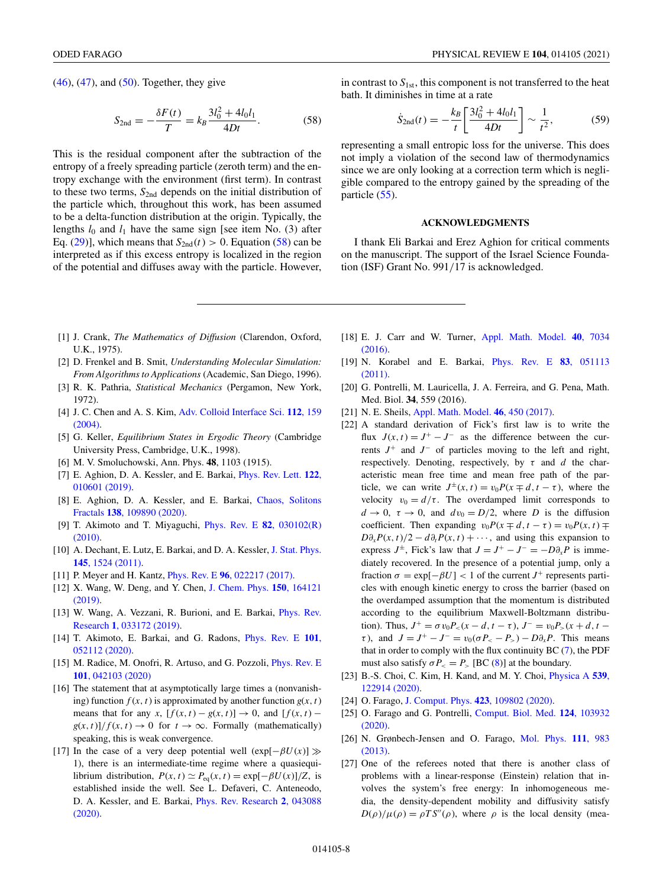<span id="page-7-0"></span> $(46)$ ,  $(47)$ , and  $(50)$ . Together, they give

$$
S_{2\text{nd}} = -\frac{\delta F(t)}{T} = k_B \frac{3l_0^2 + 4l_0l_1}{4Dt}.
$$
 (58)

This is the residual component after the subtraction of the entropy of a freely spreading particle (zeroth term) and the entropy exchange with the environment (first term). In contrast to these two terms,  $S<sub>2nd</sub>$  depends on the initial distribution of the particle which, throughout this work, has been assumed to be a delta-function distribution at the origin. Typically, the lengths  $l_0$  and  $l_1$  have the same sign [see item No. (3) after Eq. [\(29\)](#page-4-0)], which means that  $S_{2nd}(t) > 0$ . Equation (58) can be interpreted as if this excess entropy is localized in the region of the potential and diffuses away with the particle. However,

in contrast to  $S_{1st}$ , this component is not transferred to the heat bath. It diminishes in time at a rate

$$
\dot{S}_{2\text{nd}}(t) = -\frac{k_B}{t} \left[ \frac{3l_0^2 + 4l_0l_1}{4Dt} \right] \sim \frac{1}{t^2},\tag{59}
$$

representing a small entropic loss for the universe. This does not imply a violation of the second law of thermodynamics since we are only looking at a correction term which is negligible compared to the entropy gained by the spreading of the particle [\(55\)](#page-6-0).

#### **ACKNOWLEDGMENTS**

I thank Eli Barkai and Erez Aghion for critical comments on the manuscript. The support of the Israel Science Foundation (ISF) Grant No. 991/17 is acknowledged.

- [1] J. Crank, *The Mathematics of Diffusion* (Clarendon, Oxford, U.K., 1975).
- [2] D. Frenkel and B. Smit, *Understanding Molecular Simulation: From Algorithms to Applications* (Academic, San Diego, 1996).
- [3] R. K. Pathria, *Statistical Mechanics* (Pergamon, New York, 1972).
- [4] J. C. Chen and A. S. Kim, [Adv. Colloid Interface Sci.](https://doi.org/10.1016/j.cis.2004.10.001) **112**, 159 (2004).
- [5] G. Keller, *Equilibrium States in Ergodic Theory* (Cambridge University Press, Cambridge, U.K., 1998).
- [6] M. V. Smoluchowski, Ann. Phys. **48**, 1103 (1915).
- [7] [E. Aghion, D. A. Kessler, and E. Barkai,](https://doi.org/10.1103/PhysRevLett.122.010601) Phys. Rev. Lett. **122**, 010601 (2019).
- [8] [E. Aghion, D. A. Kessler, and E. Barkai,](https://doi.org/10.1016/j.chaos.2020.109890) Chaos, Solitons Fractals **138**, 109890 (2020).
- [9] [T. Akimoto and T. Miyaguchi,](https://doi.org/10.1103/PhysRevE.82.030102) Phys. Rev. E **82**, 030102(R) (2010).
- [10] [A. Dechant, E. Lutz, E. Barkai, and D. A. Kessler,](https://doi.org/10.1007/s10955-011-0363-z) J. Stat. Phys. **145**, 1524 (2011).
- [11] P. Meyer and H. Kantz, Phys. Rev. E **96**[, 022217 \(2017\).](https://doi.org/10.1103/PhysRevE.96.022217)
- [12] [X. Wang, W. Deng, and Y. Chen,](https://doi.org/10.1063/1.5090594) J. Chem. Phys. **150**, 164121 (2019).
- [13] [W. Wang, A. Vezzani, R. Burioni, and E. Barkai,](https://doi.org/10.1103/PhysRevResearch.1.033172) Phys. Rev. Research **1**, 033172 (2019).
- [14] [T. Akimoto, E. Barkai, and G. Radons,](https://doi.org/10.1103/PhysRevE.101.052112) Phys. Rev. E **101**, 052112 (2020).
- [15] [M. Radice, M. Onofri, R. Artuso, and G. Pozzoli,](https://doi.org/10.1103/PhysRevE.101.042103) *Phys. Rev. E* **101**, 042103 (2020)
- [16] The statement that at asymptotically large times a (nonvanishing) function  $f(x, t)$  is approximated by another function  $g(x, t)$ means that for any *x*,  $[f(x, t) - g(x, t)] \rightarrow 0$ , and  $[f(x, t) - g(x, t)]$  $g(x, t)/f(x, t) \to 0$  for  $t \to \infty$ . Formally (mathematically) speaking, this is weak convergence.
- [17] In the case of a very deep potential well  $(\exp[-\beta U(x))] \gg$ 1), there is an intermediate-time regime where a quasiequilibrium distribution,  $P(x, t) \simeq P_{eq}(x, t) = \exp[-\beta U(x)]/Z$ , is established inside the well. See L. Defaveri, C. Anteneodo, [D. A. Kessler, and E. Barkai,](https://doi.org/10.1103/PhysRevResearch.2.043088) Phys. Rev. Research **2**, 043088 (2020).
- [18] [E. J. Carr and W. Turner,](https://doi.org/10.1016/j.apm.2016.02.041) Appl. Math. Model. **40**, 7034 (2016).
- [19] [N. Korabel and E. Barkai,](https://doi.org/10.1103/PhysRevE.83.051113) Phys. Rev. E **83**, 051113 (2011).
- [20] G. Pontrelli, M. Lauricella, J. A. Ferreira, and G. Pena, Math. Med. Biol. **34**, 559 (2016).
- [21] N. E. Sheils, [Appl. Math. Model.](https://doi.org/10.1016/j.apm.2017.01.049) **46**, 450 (2017).
- [22] A standard derivation of Fick's first law is to write the flux  $J(x, t) = J^+ - J^-$  as the difference between the currents *J*<sup>+</sup> and *J*<sup>−</sup> of particles moving to the left and right, respectively. Denoting, respectively, by  $\tau$  and  $d$  the characteristic mean free time and mean free path of the particle, we can write  $J^{\pm}(x,t) = v_0 P(x \mp d, t - \tau)$ , where the velocity  $v_0 = d/\tau$ . The overdamped limit corresponds to  $d \rightarrow 0$ ,  $\tau \rightarrow 0$ , and  $dv_0 = D/2$ , where *D* is the diffusion coefficient. Then expanding  $v_0P(x \neq d, t - \tau) = v_0P(x, t) \neq$  $D\partial_x P(x, t)/2 - d\partial_t P(x, t) + \cdots$ , and using this expansion to express  $J^{\pm}$ , Fick's law that  $J = J^{+} - J^{-} = -D\partial_{x}P$  is immediately recovered. In the presence of a potential jump, only a fraction  $\sigma = \exp[-\beta U] < 1$  of the current *J*<sup>+</sup> represents particles with enough kinetic energy to cross the barrier (based on the overdamped assumption that the momentum is distributed according to the equilibrium Maxwell-Boltzmann distribution). Thus,  $J^+ = \sigma v_0 P_<(x-d, t-\tau)$ ,  $J^- = v_0 P_>(x+d, t-\tau)$  $\tau$ ), and  $J = J^+ - J^- = v_0 (\sigma P_s - P_s) - D \partial_x P$ . This means that in order to comply with the flux continuity BC [\(7\)](#page-1-0), the PDF must also satisfy  $\sigma P_{\leq} = P_{\geq}$  [BC [\(8\)](#page-1-0)] at the boundary.
- [23] [B.-S. Choi, C. Kim, H. Kand, and M. Y. Choi,](https://doi.org/10.1016/j.physa.2019.122914) Physica A **539**, 122914 (2020).
- [24] O. Farago, [J. Comput. Phys.](https://doi.org/10.1016/j.jcp.2020.109802) **423**, 109802 (2020).
- [25] [O. Farago and G. Pontrelli,](https://doi.org/10.1016/j.compbiomed.2020.103932) Comput. Biol. Med. **124**, 103932 (2020).
- [26] [N. Grønbech-Jensen and O. Farago,](https://doi.org/10.1080/00268976.2012.760055) Mol. Phys. **111**, 983 (2013).
- [27] One of the referees noted that there is another class of problems with a linear-response (Einstein) relation that involves the system's free energy: In inhomogeneous media, the density-dependent mobility and diffusivity satisfy  $D(\rho)/\mu(\rho) = \rho T S''(\rho)$ , where  $\rho$  is the local density (mea-